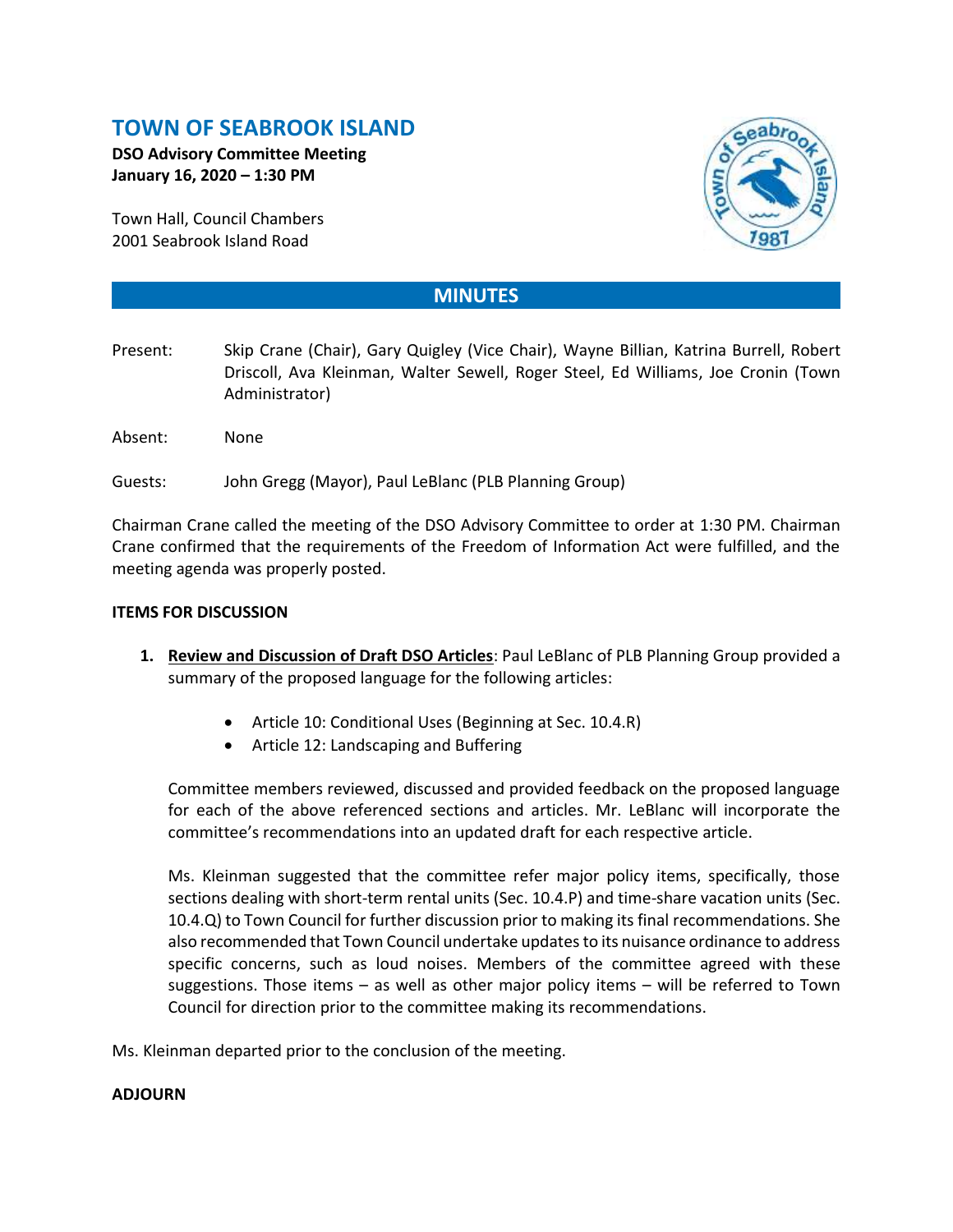## **TOWN OF SEABROOK ISLAND**

**DSO Advisory Committee Meeting January 16, 2020 – 1:30 PM**

Town Hall, Council Chambers 2001 Seabrook Island Road



## **MINUTES**

- Present: Skip Crane (Chair), Gary Quigley (Vice Chair), Wayne Billian, Katrina Burrell, Robert Driscoll, Ava Kleinman, Walter Sewell, Roger Steel, Ed Williams, Joe Cronin (Town Administrator)
- Absent: None
- Guests: John Gregg (Mayor), Paul LeBlanc (PLB Planning Group)

Chairman Crane called the meeting of the DSO Advisory Committee to order at 1:30 PM. Chairman Crane confirmed that the requirements of the Freedom of Information Act were fulfilled, and the meeting agenda was properly posted.

## **ITEMS FOR DISCUSSION**

- **1. Review and Discussion of Draft DSO Articles**: Paul LeBlanc of PLB Planning Group provided a summary of the proposed language for the following articles:
	- Article 10: Conditional Uses (Beginning at Sec. 10.4.R)
	- Article 12: Landscaping and Buffering

Committee members reviewed, discussed and provided feedback on the proposed language for each of the above referenced sections and articles. Mr. LeBlanc will incorporate the committee's recommendations into an updated draft for each respective article.

Ms. Kleinman suggested that the committee refer major policy items, specifically, those sections dealing with short-term rental units (Sec. 10.4.P) and time-share vacation units (Sec. 10.4.Q) to Town Council for further discussion prior to making its final recommendations. She also recommended that Town Council undertake updates to its nuisance ordinance to address specific concerns, such as loud noises. Members of the committee agreed with these suggestions. Those items – as well as other major policy items – will be referred to Town Council for direction prior to the committee making its recommendations.

Ms. Kleinman departed prior to the conclusion of the meeting.

## **ADJOURN**